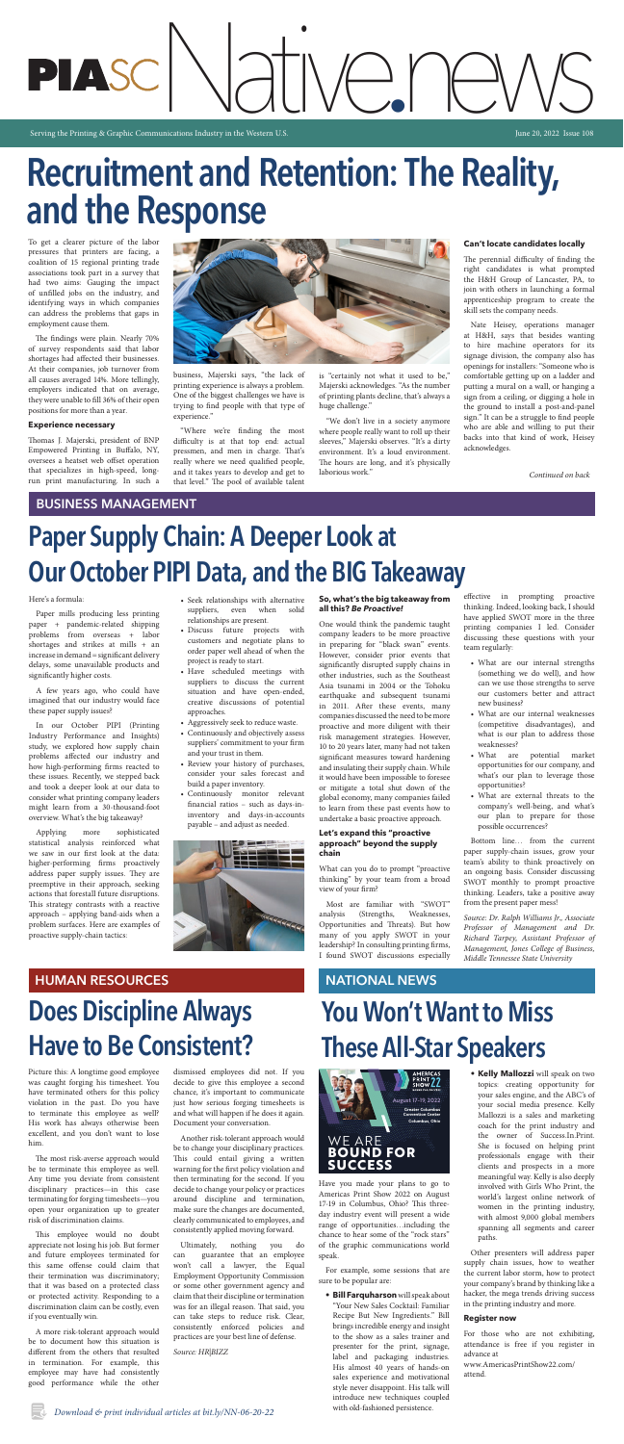# unications Industry in the Western U.S.

Serving the Printing & Graphic Communications Industry in the Western U.S. June 20, 2022 Issue 108

## **BUSINESS MANAGEMENT**

# **Paper Supply Chain: A Deeper Look at Our October PIPI Data, and the BIG Takeaway**

# **Recruitment and Retention: The Reality, and the Response**

## **Does Discipline Always Have to Be Consistent?**

## **HUMAN RESOURCES**

To get a clearer picture of the labor pressures that printers are facing, a coalition of 15 regional printing trade associations took part in a survey that had two aims: Gauging the impact of unfilled jobs on the industry, and identifying ways in which companies can address the problems that gaps in employment cause them.

The findings were plain. Nearly 70% of survey respondents said that labor shortages had affected their businesses. At their companies, job turnover from all causes averaged 14%. More tellingly, employers indicated that on average, they were unable to fill 36% of their open positions for more than a year.

#### **Experience necessary**

Thomas J. Majerski, president of BNP Empowered Printing in Buffalo, NY, oversees a heatset web offset operation that specializes in high-speed, longrun print manufacturing. In such a



business, Majerski says, "the lack of printing experience is always a problem. One of the biggest challenges we have is trying to find people with that type of experience."

"Where we're finding the most difficulty is at that top end: actual pressmen, and men in charge. That's really where we need qualified people, and it takes years to develop and get to that level." The pool of available talent

is "certainly not what it used to be," Majerski acknowledges. "As the number of printing plants decline, that's always a huge challenge."

"We don't live in a society anymore where people really want to roll up their sleeves," Majerski observes. "It's a dirty environment. It's a loud environment. The hours are long, and it's physically laborious work."

#### **Can't locate candidates locally**

The perennial difficulty of finding the right candidates is what prompted the H&H Group of Lancaster, PA, to join with others in launching a formal apprenticeship program to create the skill sets the company needs.

Nate Heisey, operations manager at H&H, says that besides wanting to hire machine operators for its signage division, the company also has openings for installers: "Someone who is comfortable getting up on a ladder and putting a mural on a wall, or hanging a sign from a ceiling, or digging a hole in the ground to install a post-and-panel sign." It can be a struggle to find people who are able and willing to put their backs into that kind of work, Heisey acknowledges.

#### Here's a formula:

Paper mills producing less printing paper + pandemic-related shipping problems from overseas + labor shortages and strikes at mills + an increase in demand = significant delivery delays, some unavailable products and significantly higher costs.

A few years ago, who could have imagined that our industry would face

these paper supply issues?

In our October PIPI (Printing Industry Performance and Insights) study, we explored how supply chain problems affected our industry and how high-performing firms reacted to these issues. Recently, we stepped back and took a deeper look at our data to consider what printing company leaders might learn from a 30-thousand-foot overview. What's the big takeaway?

Applying more sophisticated statistical analysis reinforced what we saw in our first look at the data: higher-performing firms proactively address paper supply issues. They are preemptive in their approach, seeking actions that forestall future disruptions. This strategy contrasts with a reactive approach – applying band-aids when a problem surfaces. Here are examples of proactive supply-chain tactics:

- Seek relationships with alternative suppliers, even when solid relationships are present.
- Discuss future projects with customers and negotiate plans to order paper well ahead of when the project is ready to start.
- Have scheduled meetings with suppliers to discuss the current situation and have open-ended, creative discussions of potential

approaches.

- Aggressively seek to reduce waste.
- Continuously and objectively assess suppliers' commitment to your firm and your trust in them.
- Review your history of purchases, consider your sales forecast and build a paper inventory.
- Continuously monitor relevant financial ratios – such as days-ininventory and days-in-accounts payable – and adjust as needed.



#### **So, what's the big takeaway from all this?** *Be Proactive!*

One would think the pandemic taught company leaders to be more proactive in preparing for "black swan" events. However, consider prior events that significantly disrupted supply chains in other industries, such as the Southeast Asia tsunami in 2004 or the Tohoku earthquake and subsequent tsunami in 2011. After these events, many companies discussed the need to be more proactive and more diligent with their risk management strategies. However, 10 to 20 years later, many had not taken significant measures toward hardening and insulating their supply chain. While it would have been impossible to foresee or mitigate a total shut down of the global economy, many companies failed to learn from these past events how to undertake a basic proactive approach.

#### **Let's expand this "proactive approach" beyond the supply chain**

What can you do to prompt "proactive thinking" by your team from a broad view of your firm?

Most are familiar with "SWOT" analysis (Strengths, Weaknesses, Opportunities and Threats). But how many of you apply SWOT in your leadership? In consulting printing firms, I found SWOT discussions especially effective in prompting proactive thinking. Indeed, looking back, I should have applied SWOT more in the three printing companies I led. Consider discussing these questions with your team regularly:

• What are our internal strengths (something we do well), and how can we use those strengths to serve our customers better and attract new business?

• What are our internal weaknesses (competitive disadvantages), and what is our plan to address those weaknesses?

- What are potential market opportunities for our company, and what's our plan to leverage those opportunities?
- What are external threats to the company's well-being, and what's our plan to prepare for those possible occurrences?

Bottom line… from the current paper supply-chain issues, grow your team's ability to think proactively on an ongoing basis. Consider discussing SWOT monthly to prompt proactive thinking. Leaders, take a positive away from the present paper mess!

*Source: Dr. Ralph Williams Jr., Associate Professor of Management and Dr. Richard Tarpey, Assistant Professor of Management, Jones College of Business, Middle Tennessee State University*

Picture this: A longtime good employee was caught forging his timesheet. You have terminated others for this policy violation in the past. Do you have to terminate this employee as well? His work has always otherwise been excellent, and you don't want to lose him.

The most risk-averse approach would be to terminate this employee as well. Any time you deviate from consistent disciplinary practices—in this case terminating for forging timesheets—you open your organization up to greater risk of discrimination claims.

This employee would no doubt appreciate not losing his job. But former and future employees terminated for this same offense could claim that their termination was discriminatory; that it was based on a protected class or protected activity. Responding to a discrimination claim can be costly, even if you eventually win.

A more risk-tolerant approach would be to document how this situation is different from the others that resulted in termination. For example, this employee may have had consistently good performance while the other dismissed employees did not. If you decide to give this employee a second chance, it's important to communicate just how serious forging timesheets is and what will happen if he does it again. Document your conversation.

Another risk-tolerant approach would be to change your disciplinary practices. This could entail giving a written warning for the first policy violation and then terminating for the second. If you decide to change your policy or practices around discipline and termination, make sure the changes are documented, clearly communicated to employees, and consistently applied moving forward.

Ultimately, nothing you do can guarantee that an employee won't call a lawyer, the Equal Employment Opportunity Commission or some other government agency and claim that their discipline or termination was for an illegal reason. That said, you can take steps to reduce risk. Clear, consistently enforced policies and practices are your best line of defense.

*Source: HR|BIZZ*

## **NATIONAL NEWS**

# **You Won't Want to Miss These All-Star Speakers**

*Continued on back*

For example, some sessions that are sure to be popular are:

- **• Bill Farquharson** will speak about "Your New Sales Cocktail: Familiar Recipe But New Ingredients." Bill brings incredible energy and insight to the show as a sales trainer and presenter for the print, signage, label and packaging industries. His almost 40 years of hands-on sales experience and motivational style never disappoint. His talk will introduce new techniques coupled with old-fashioned persistence.
- **• Kelly Mallozzi** will speak on two topics: creating opportunity for your sales engine, and the ABC's of your social media presence. Kelly Mallozzi is a sales and marketing coach for the print industry and the owner of Success.In.Print. She is focused on helping print professionals engage with their clients and prospects in a more meaningful way. Kelly is also deeply involved with Girls Who Print, the world's largest online network of women in the printing industry, with almost 9,000 global members spanning all segments and career paths.

Other presenters will address paper supply chain issues, how to weather the current labor storm, how to protect your company's brand by thinking like a hacker, the mega trends driving success in the printing industry and more.

#### **Register now**

For those who are not exhibiting, attendance is free if you register in advance at

www.AmericasPrintShow22.com/ attend.



Have you made your plans to go to Americas Print Show 2022 on August 17-19 in Columbus, Ohio? This threeday industry event will present a wide range of opportunities...including the chance to hear some of the "rock stars" **americasprintshow.com** of the graphic communications world speak.  $\alpha$  you made your  $\beta$ .